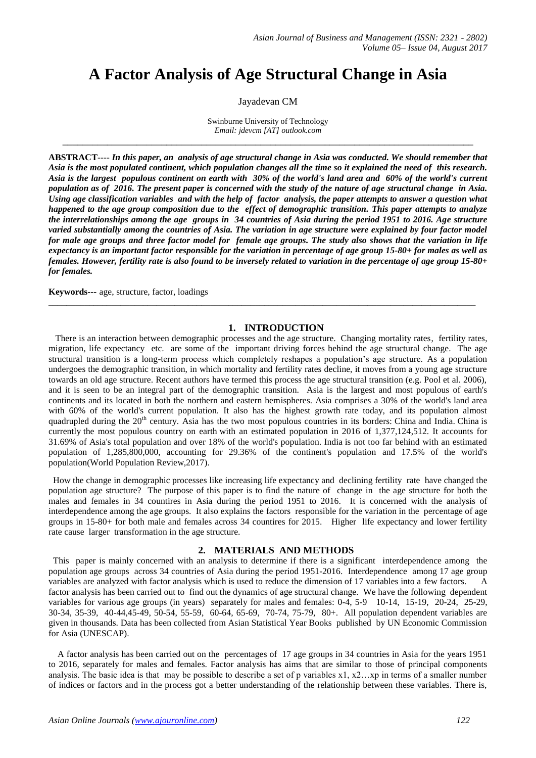## **A Factor Analysis of Age Structural Change in Asia**

#### Jayadevan CM

Swinburne University of Technology *Email: jdevcm [AT] outlook.com \_\_\_\_\_\_\_\_\_\_\_\_\_\_\_\_\_\_\_\_\_\_\_\_\_\_\_\_\_\_\_\_\_\_\_\_\_\_\_\_\_\_\_\_\_\_\_\_\_\_\_\_\_\_\_\_\_\_\_\_\_\_\_\_\_\_\_\_\_\_\_\_\_\_\_\_\_\_\_\_\_\_\_*

**ABSTRACT----** *In this paper, an analysis of age structural change in Asia was conducted. We should remember that Asia is the most populated continent, which population changes all the time so it explained the need of this research. Asia is the largest populous continent on earth with 30% of the world's land area and 60% of the world's current population as of 2016. The present paper is concerned with the study of the nature of age structural change in Asia. Using age classification variables and with the help of factor analysis, the paper attempts to answer a question what happened to the age group composition due to the effect of demographic transition. This paper attempts to analyze the interrelationships among the age groups in 34 countries of Asia during the period 1951 to 2016. Age structure varied substantially among the countries of Asia. The variation in age structure were explained by four factor model for male age groups and three factor model for female age groups. The study also shows that the variation in life expectancy is an important factor responsible for the variation in percentage of age group 15-80+ for males as well as females. However, fertility rate is also found to be inversely related to variation in the percentage of age group 15-80+ for females.*

**Keywords---** age, structure, factor, loadings

#### **1. INTRODUCTION**

\_\_\_\_\_\_\_\_\_\_\_\_\_\_\_\_\_\_\_\_\_\_\_\_\_\_\_\_\_\_\_\_\_\_\_\_\_\_\_\_\_\_\_\_\_\_\_\_\_\_\_\_\_\_\_\_\_\_\_\_\_\_\_\_\_\_\_\_\_\_\_\_\_\_\_\_\_\_\_\_\_\_\_\_\_\_\_\_\_\_\_\_\_\_\_

 There is an interaction between demographic processes and the age structure. Changing mortality rates, fertility rates, migration, life expectancy etc. are some of the important driving forces behind the age structural change. The age structural transition is a long-term process which completely reshapes a population's age structure. As a population undergoes the demographic transition, in which mortality and fertility rates decline, it moves from a young age structure towards an old age structure. Recent authors have termed this process the age structural transition (e.g. Pool et al. 2006), and it is seen to be an integral part of the demographic transition. Asia is the largest and most populous of earth's continents and its located in both the northern and eastern hemispheres. Asia comprises a 30% of the world's land area with 60% of the world's current population. It also has the highest growth rate today, and its population almost quadrupled during the  $20<sup>th</sup>$  century. Asia has the two most populous countries in its borders: [China](http://worldpopulationreview.com/countries/china-population) and India. China is currently [the most populous country on earth](http://www.census.gov/popclock/print.php?component=counter) with an estimated population in 2016 of 1,377,124,512. It accounts for 31.69% of Asia's total population and over 18% of the world's population. [India](http://worldpopulationreview.com/countries/india-population) is not too far behind with an estimated population of 1,285,800,000, accounting for 29.36% of the continent's population and 17.5% of the world's population(World Population Review,2017).

 How the change in demographic processes like increasing life expectancy and declining fertility rate have changed the population age structure? The purpose of this paper is to find the nature of change in the age structure for both the males and females in 34 countires in Asia during the period 1951 to 2016. It is concerned with the analysis of interdependence among the age groups. It also explains the factors responsible for the variation in the percentage of age groups in 15-80+ for both male and females across 34 countires for 2015. Higher life expectancy and lower fertility rate cause larger transformation in the age structure.

#### **2. MATERIALS AND METHODS**

 This paper is mainly concerned with an analysis to determine if there is a significant interdependence among the population age groups across 34 countries of Asia during the period 1951-2016. Interdependence among 17 age group variables are analyzed with factor analysis which is used to reduce the dimension of 17 variables into a few factors. A factor analysis has been carried out to find out the dynamics of age structural change. We have the following dependent variables for various age groups (in years) separately for males and females: 0-4, 5-9 10-14, 15-19, 20-24, 25-29, 30-34, 35-39, 40-44,45-49, 50-54, 55-59, 60-64, 65-69, 70-74, 75-79, 80+. All population dependent variables are given in thousands. Data has been collected from Asian Statistical Year Books published by UN Economic Commission for Asia (UNESCAP).

 A factor analysis has been carried out on the percentages of 17 age groups in 34 countries in Asia for the years 1951 to 2016, separately for males and females. Factor analysis has aims that are similar to those of principal components analysis. The basic idea is that may be possible to describe a set of p variables  $x1, x2...$  in terms of a smaller number of indices or factors and in the process got a better understanding of the relationship between these variables. There is,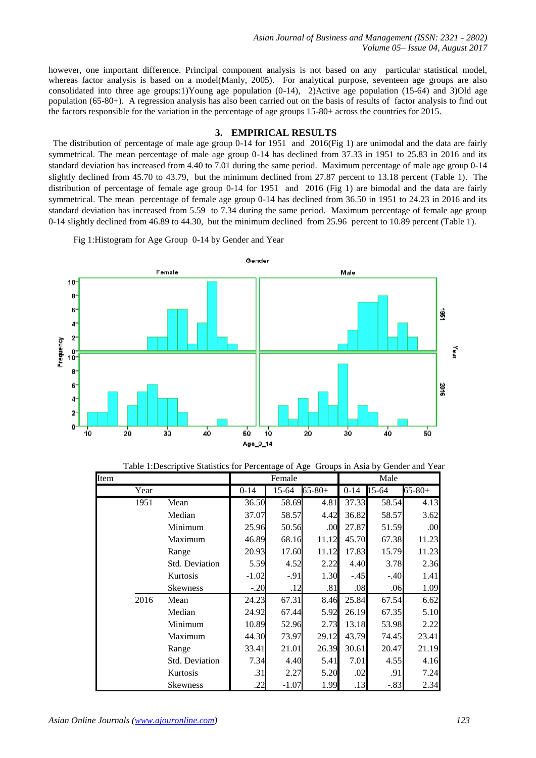however, one important difference. Principal component analysis is not based on any particular statistical model, whereas factor analysis is based on a model(Manly, 2005). For analytical purpose, seventeen age groups are also consolidated into three age groups:1)Young age population  $(0-14)$ , 2)Active age population  $(15-64)$  and 3)Old age population (65-80+). A regression analysis has also been carried out on the basis of results of factor analysis to find out the factors responsible for the variation in the percentage of age groups 15-80+ across the countries for 2015.

#### **3. EMPIRICAL RESULTS**

 The distribution of percentage of male age group 0-14 for 1951 and 2016(Fig 1) are unimodal and the data are fairly symmetrical. The mean percentage of male age group 0-14 has declined from 37.33 in 1951 to 25.83 in 2016 and its standard deviation has increased from 4.40 to 7.01 during the same period. Maximum percentage of male age group 0-14 slightly declined from 45.70 to 43.79, but the minimum declined from 27.87 percent to 13.18 percent (Table 1). The distribution of percentage of female age group 0-14 for 1951 and 2016 (Fig 1) are bimodal and the data are fairly symmetrical. The mean percentage of female age group 0-14 has declined from 36.50 in 1951 to 24.23 in 2016 and its standard deviation has increased from 5.59 to 7.34 during the same period. Maximum percentage of female age group 0-14 slightly declined from 46.89 to 44.30, but the minimum declined from 25.96 percent to 10.89 percent (Table 1).

Fig 1:Histogram for Age Group 0-14 by Gender and Year



|      |      | Table 1:Descriptive Statistics for Percentage of Age Groups in Asia by Gender and Year |          |         |             |          |        |             |
|------|------|----------------------------------------------------------------------------------------|----------|---------|-------------|----------|--------|-------------|
| Item |      |                                                                                        |          | Female  |             |          | Male   |             |
|      | Year |                                                                                        | $0 - 14$ | 15-64   | $65 - 80 +$ | $0 - 14$ | 15-64  | $65 - 80 +$ |
|      | 1951 | Mean                                                                                   | 36.50    | 58.69   | 4.81        | 37.33    | 58.54  | 4.13        |
|      |      | Median                                                                                 | 37.07    | 58.57   | 4.42        | 36.82    | 58.57  | 3.62        |
|      |      | Minimum                                                                                | 25.96    | 50.56   | .00         | 27.87    | 51.59  | .00         |
|      |      | Maximum                                                                                | 46.89    | 68.16   | 11.12       | 45.70    | 67.38  | 11.23       |
|      |      | Range                                                                                  | 20.93    | 17.60   | 11.12       | 17.83    | 15.79  | 11.23       |
|      |      | Std. Deviation                                                                         | 5.59     | 4.52    | 2.22        | 4.40     | 3.78   | 2.36        |
|      |      | Kurtosis                                                                               | $-1.02$  | $-.91$  | 1.30        | $-.45$   | $-.40$ | 1.41        |
|      |      | <b>Skewness</b>                                                                        | $-.20$   | .12     | .81         | .08      | .06    | 1.09        |
|      | 2016 | Mean                                                                                   | 24.23    | 67.31   | 8.46        | 25.84    | 67.54  | 6.62        |
|      |      | Median                                                                                 | 24.92    | 67.44   | 5.92        | 26.19    | 67.35  | 5.10        |
|      |      | Minimum                                                                                | 10.89    | 52.96   | 2.73        | 13.18    | 53.98  | 2.22        |
|      |      | Maximum                                                                                | 44.30    | 73.97   | 29.12       | 43.79    | 74.45  | 23.41       |
|      |      | Range                                                                                  | 33.41    | 21.01   | 26.39       | 30.61    | 20.47  | 21.19       |
|      |      | Std. Deviation                                                                         | 7.34     | 4.40    | 5.41        | 7.01     | 4.55   | 4.16        |
|      |      | Kurtosis                                                                               | .31      | 2.27    | 5.20        | .02      | .91    | 7.24        |
|      |      | <b>Skewness</b>                                                                        | .22      | $-1.07$ | 1.99        | .13      | $-.83$ | 2.34        |

Table 1:Descriptive Statistics for Percentage of Age Groups in Asia by Gender and Year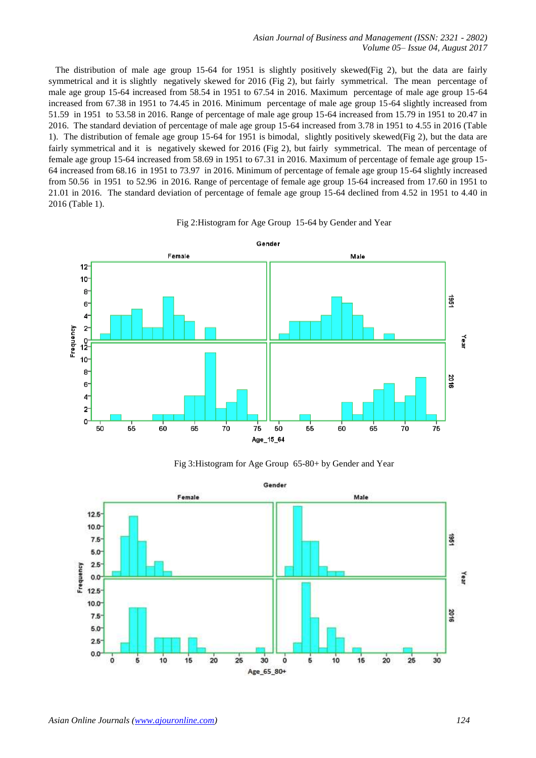The distribution of male age group 15-64 for 1951 is slightly positively skewed(Fig 2), but the data are fairly symmetrical and it is slightly negatively skewed for 2016 (Fig 2), but fairly symmetrical. The mean percentage of male age group 15-64 increased from 58.54 in 1951 to 67.54 in 2016. Maximum percentage of male age group 15-64 increased from 67.38 in 1951 to 74.45 in 2016. Minimum percentage of male age group 15-64 slightly increased from 51.59 in 1951 to 53.58 in 2016. Range of percentage of male age group 15-64 increased from 15.79 in 1951 to 20.47 in 2016. The standard deviation of percentage of male age group 15-64 increased from 3.78 in 1951 to 4.55 in 2016 (Table 1). The distribution of female age group 15-64 for 1951 is bimodal, slightly positively skewed(Fig 2), but the data are fairly symmetrical and it is negatively skewed for 2016 (Fig 2), but fairly symmetrical. The mean of percentage of female age group 15-64 increased from 58.69 in 1951 to 67.31 in 2016. Maximum of percentage of female age group 15- 64 increased from 68.16 in 1951 to 73.97 in 2016. Minimum of percentage of female age group 15-64 slightly increased from 50.56 in 1951 to 52.96 in 2016. Range of percentage of female age group 15-64 increased from 17.60 in 1951 to 21.01 in 2016. The standard deviation of percentage of female age group 15-64 declined from 4.52 in 1951 to 4.40 in 2016 (Table 1).

# Fig 2:Histogram for Age Group 15-64 by Gender and Year



Fig 3:Histogram for Age Group 65-80+ by Gender and Year

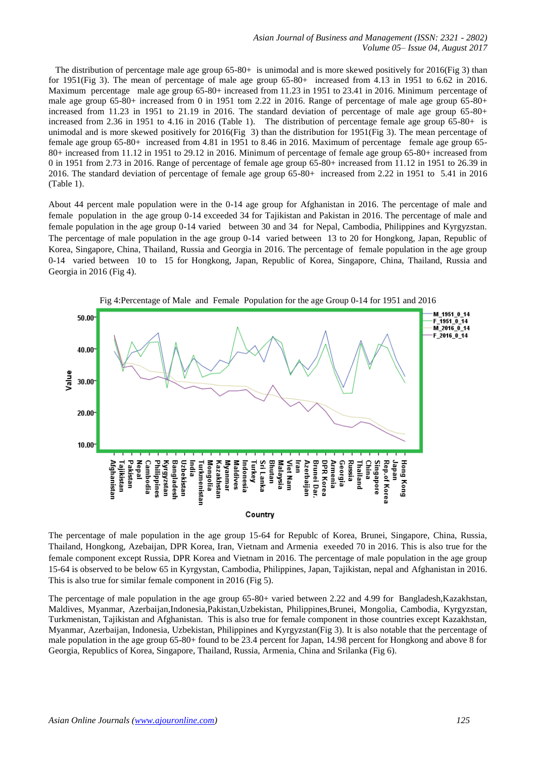The distribution of percentage male age group 65-80+ is unimodal and is more skewed positively for 2016(Fig 3) than for 1951(Fig 3). The mean of percentage of male age group 65-80+ increased from 4.13 in 1951 to 6.62 in 2016. Maximum percentage male age group 65-80+ increased from 11.23 in 1951 to 23.41 in 2016. Minimum percentage of male age group 65-80+ increased from 0 in 1951 tom 2.22 in 2016. Range of percentage of male age group 65-80+ increased from 11.23 in 1951 to 21.19 in 2016. The standard deviation of percentage of male age group 65-80+ increased from 2.36 in 1951 to 4.16 in 2016 (Table 1). The distribution of percentage female age group 65-80+ is unimodal and is more skewed positively for 2016(Fig 3) than the distribution for 1951(Fig 3). The mean percentage of female age group 65-80+ increased from 4.81 in 1951 to 8.46 in 2016. Maximum of percentage female age group 65- 80+ increased from 11.12 in 1951 to 29.12 in 2016. Minimum of percentage of female age group 65-80+ increased from 0 in 1951 from 2.73 in 2016. Range of percentage of female age group 65-80+ increased from 11.12 in 1951 to 26.39 in 2016. The standard deviation of percentage of female age group 65-80+ increased from 2.22 in 1951 to 5.41 in 2016 (Table 1).

About 44 percent male population were in the 0-14 age group for Afghanistan in 2016. The percentage of male and female population in the age group 0-14 exceeded 34 for Tajikistan and Pakistan in 2016. The percentage of male and female population in the age group 0-14 varied between 30 and 34 for Nepal, Cambodia, Philippines and Kyrgyzstan. The percentage of male population in the age group 0-14 varied between 13 to 20 for Hongkong, Japan, Republic of Korea, Singapore, China, Thailand, Russia and Georgia in 2016. The percentage of female population in the age group 0-14 varied between 10 to 15 for Hongkong, Japan, Republic of Korea, Singapore, China, Thailand, Russia and Georgia in 2016 (Fig 4).



Fig 4:Percentage of Male and Female Population for the age Group 0-14 for 1951 and 2016

The percentage of male population in the age group 15-64 for Republc of Korea, Brunei, Singapore, China, Russia, Thailand, Hongkong, Azebaijan, DPR Korea, Iran, Vietnam and Armenia exeeded 70 in 2016. This is also true for the female component except Russia, DPR Korea and Vietnam in 2016. The percentage of male population in the age group 15-64 is observed to be below 65 in Kyrgystan, Cambodia, Philippines, Japan, Tajikistan, nepal and Afghanistan in 2016. This is also true for similar female component in 2016 (Fig 5).

The percentage of male population in the age group 65-80+ varied between 2.22 and 4.99 for Bangladesh,Kazakhstan, Maldives, Myanmar, Azerbaijan,Indonesia,Pakistan,Uzbekistan, Philippines,Brunei, Mongolia, Cambodia, Kyrgyzstan, Turkmenistan, Tajikistan and Afghanistan. This is also true for female component in those countries except Kazakhstan, Myanmar, Azerbaijan, Indonesia, Uzbekistan, Philippines and Kyrgyzstan(Fig 3). It is also notable that the percentage of male population in the age group 65-80+ found to be 23.4 percent for Japan, 14.98 percent for Hongkong and above 8 for Georgia, Republics of Korea, Singapore, Thailand, Russia, Armenia, China and Srilanka (Fig 6).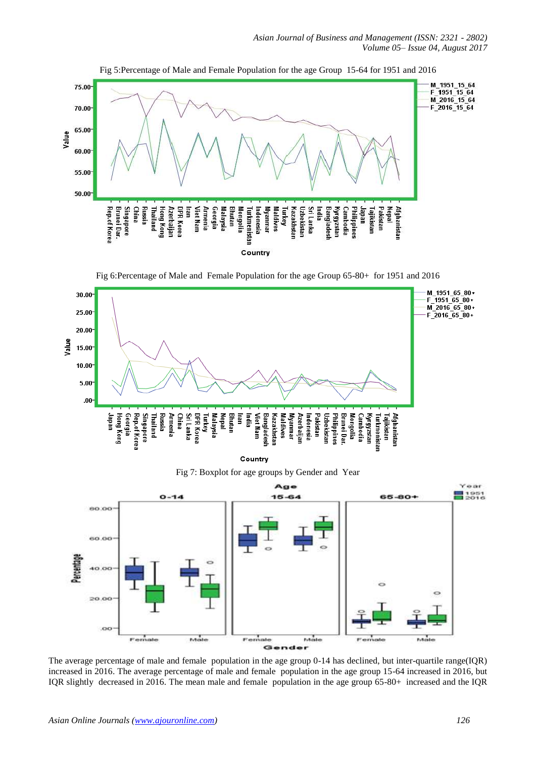

Fig 5:Percentage of Male and Female Population for the age Group 15-64 for 1951 and 2016

Fig 6:Percentage of Male and Female Population for the age Group 65-80+ for 1951 and 2016



Country

Fig 7: Boxplot for age groups by Gender and Year



The average percentage of male and female population in the age group 0-14 has declined, but inter-quartile range(IQR) increased in 2016. The average percentage of male and female population in the age group 15-64 increased in 2016, but IQR slightly decreased in 2016. The mean male and female population in the age group 65-80+ increased and the IQR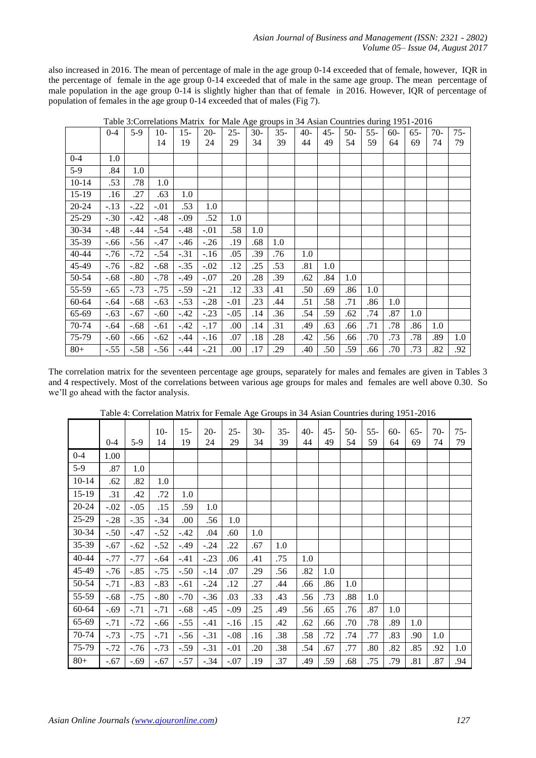also increased in 2016. The mean of percentage of male in the age group 0-14 exceeded that of female, however, IQR in the percentage of female in the age group 0-14 exceeded that of male in the same age group. The mean percentage of male population in the age group 0-14 is slightly higher than that of female in 2016. However, IQR of percentage of population of females in the age group 0-14 exceeded that of males (Fig 7).

|           | $0 - 4$ | $5-9$  | $10-$  | $15-$  | $20-$  | $25 -$ | 30- | $35 -$ | 40- | 45- | $50-$ | 55- | $60-$ | $65-$ | 70- | $75 -$ |
|-----------|---------|--------|--------|--------|--------|--------|-----|--------|-----|-----|-------|-----|-------|-------|-----|--------|
|           |         |        | 14     | 19     | 24     | 29     | 34  | 39     | 44  | 49  | 54    | 59  | 64    | 69    | 74  | 79     |
| $0 - 4$   | 1.0     |        |        |        |        |        |     |        |     |     |       |     |       |       |     |        |
| $5-9$     | .84     | 1.0    |        |        |        |        |     |        |     |     |       |     |       |       |     |        |
| $10 - 14$ | .53     | .78    | 1.0    |        |        |        |     |        |     |     |       |     |       |       |     |        |
| $15-19$   | .16     | .27    | .63    | 1.0    |        |        |     |        |     |     |       |     |       |       |     |        |
| $20 - 24$ | $-.13$  | $-.22$ | $-.01$ | .53    | 1.0    |        |     |        |     |     |       |     |       |       |     |        |
| 25-29     | $-.30$  | $-.42$ | $-.48$ | $-.09$ | .52    | 1.0    |     |        |     |     |       |     |       |       |     |        |
| 30-34     | $-.48$  | $-.44$ | $-.54$ | $-.48$ | $-.01$ | .58    | 1.0 |        |     |     |       |     |       |       |     |        |
| 35-39     | $-.66$  | $-.56$ | $-.47$ | $-.46$ | $-.26$ | .19    | .68 | 1.0    |     |     |       |     |       |       |     |        |
| 40-44     | $-.76$  | $-.72$ | $-.54$ | $-.31$ | $-16$  | .05    | .39 | .76    | 1.0 |     |       |     |       |       |     |        |
| 45-49     | $-.76$  | $-.82$ | $-.68$ | $-.35$ | $-.02$ | .12    | .25 | .53    | .81 | 1.0 |       |     |       |       |     |        |
| 50-54     | $-.68$  | $-.80$ | $-.78$ | $-.49$ | $-.07$ | .20    | .28 | .39    | .62 | .84 | 1.0   |     |       |       |     |        |
| 55-59     | $-.65$  | $-.73$ | $-.75$ | $-.59$ | $-.21$ | .12    | .33 | .41    | .50 | .69 | .86   | 1.0 |       |       |     |        |
| 60-64     | $-.64$  | $-.68$ | $-.63$ | $-.53$ | $-.28$ | $-.01$ | .23 | .44    | .51 | .58 | .71   | .86 | 1.0   |       |     |        |
| 65-69     | $-.63$  | $-.67$ | $-.60$ | $-.42$ | $-.23$ | $-.05$ | .14 | .36    | .54 | .59 | .62   | .74 | .87   | 1.0   |     |        |
| 70-74     | $-.64$  | $-.68$ | $-.61$ | $-.42$ | $-.17$ | .00.   | .14 | .31    | .49 | .63 | .66   | .71 | .78   | .86   | 1.0 |        |
| 75-79     | $-.60$  | $-.66$ | $-.62$ | $-.44$ | $-16$  | .07    | .18 | .28    | .42 | .56 | .66   | .70 | .73   | .78   | .89 | 1.0    |
| $80 +$    | $-.55$  | $-.58$ | $-.56$ | $-.44$ | $-.21$ | .00.   | .17 | .29    | .40 | .50 | .59   | .66 | .70   | .73   | .82 | .92    |

Table 3:Correlations Matrix for Male Age groups in 34 Asian Countries during 1951-2016

The correlation matrix for the seventeen percentage age groups, separately for males and females are given in Tables 3 and 4 respectively. Most of the correlations between various age groups for males and females are well above 0.30. So we'll go ahead with the factor analysis.

|           |         |        | $10-$  | $15 -$ | $20-$  | $25 -$ | $30-$ | $35 -$ | $40-$ | $45 -$ | $50-$ | $55 -$ | $60-$ | $65 -$ | $70-$ | $75 -$ |
|-----------|---------|--------|--------|--------|--------|--------|-------|--------|-------|--------|-------|--------|-------|--------|-------|--------|
|           | $0 - 4$ | $5-9$  | 14     | 19     | 24     | 29     | 34    | 39     | 44    | 49     | 54    | 59     | 64    | 69     | 74    | 79     |
| $0 - 4$   | 1.00    |        |        |        |        |        |       |        |       |        |       |        |       |        |       |        |
| $5-9$     | .87     | 1.0    |        |        |        |        |       |        |       |        |       |        |       |        |       |        |
| $10 - 14$ | .62     | .82    | 1.0    |        |        |        |       |        |       |        |       |        |       |        |       |        |
| $15-19$   | .31     | .42    | .72    | 1.0    |        |        |       |        |       |        |       |        |       |        |       |        |
| $20 - 24$ | $-.02$  | $-.05$ | .15    | .59    | 1.0    |        |       |        |       |        |       |        |       |        |       |        |
| 25-29     | $-.28$  | $-.35$ | $-.34$ | .00.   | .56    | 1.0    |       |        |       |        |       |        |       |        |       |        |
| 30-34     | $-.50$  | $-.47$ | $-.52$ | $-.42$ | .04    | .60    | 1.0   |        |       |        |       |        |       |        |       |        |
| 35-39     | $-.67$  | $-.62$ | $-.52$ | $-.49$ | $-.24$ | .22    | .67   | 1.0    |       |        |       |        |       |        |       |        |
| 40-44     | $-.77$  | $-.77$ | $-.64$ | $-.41$ | $-.23$ | .06    | .41   | .75    | 1.0   |        |       |        |       |        |       |        |
| 45-49     | $-.76$  | $-.85$ | $-.75$ | $-.50$ | $-.14$ | .07    | .29   | .56    | .82   | 1.0    |       |        |       |        |       |        |
| 50-54     | $-.71$  | $-.83$ | $-.83$ | $-.61$ | $-.24$ | .12    | .27   | .44    | .66   | .86    | 1.0   |        |       |        |       |        |
| 55-59     | $-.68$  | $-.75$ | $-.80$ | $-.70$ | $-.36$ | .03    | .33   | .43    | .56   | .73    | .88   | 1.0    |       |        |       |        |
| 60-64     | $-.69$  | $-.71$ | $-.71$ | $-.68$ | $-.45$ | $-.09$ | .25   | .49    | .56   | .65    | .76   | .87    | 1.0   |        |       |        |
| 65-69     | $-.71$  | $-.72$ | $-.66$ | $-.55$ | $-.41$ | $-.16$ | .15   | .42    | .62   | .66    | .70   | .78    | .89   | 1.0    |       |        |
| 70-74     | $-.73$  | $-.75$ | $-.71$ | $-.56$ | $-.31$ | $-.08$ | .16   | .38    | .58   | .72    | .74   | .77    | .83   | .90    | 1.0   |        |
| 75-79     | $-.72$  | $-.76$ | $-.73$ | $-.59$ | $-.31$ | $-.01$ | .20   | .38    | .54   | .67    | .77   | .80    | .82   | .85    | .92   | 1.0    |
| $80+$     | $-.67$  | $-.69$ | $-.67$ | $-.57$ | $-.34$ | $-.07$ | .19   | .37    | .49   | .59    | .68   | .75    | .79   | .81    | .87   | .94    |

Table 4: Correlation Matrix for Female Age Groups in 34 Asian Countries during 1951-2016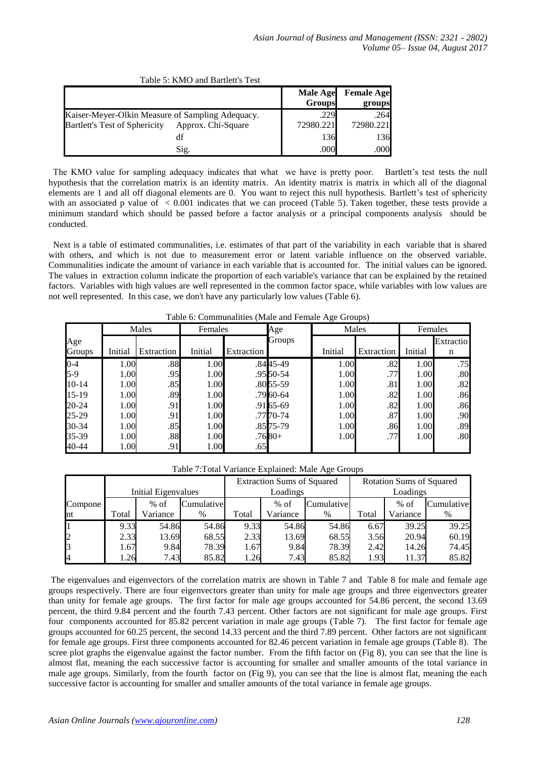|                                                                                          |                    | <b>Male Age</b><br><b>Groups</b> | <b>Female Age</b><br>groups |
|------------------------------------------------------------------------------------------|--------------------|----------------------------------|-----------------------------|
| Kaiser-Meyer-Olkin Measure of Sampling Adequacy.<br><b>Bartlett's Test of Sphericity</b> | Approx. Chi-Square | .229<br>72980.221                | .264<br>72980.221           |
|                                                                                          | df                 | 136                              | 136                         |
|                                                                                          | Sig.               | .000                             | .000                        |

Table 5: KMO and Bartlett's Test

 The KMO value for sampling adequacy indicates that what we have is pretty poor. Bartlett's test tests the null hypothesis that the correlation matrix is an identity matrix. An identity matrix is matrix in which all of the diagonal elements are 1 and all off diagonal elements are 0. You want to reject this null hypothesis. Bartlett's test of sphericity with an associated p value of  $\lt 0.001$  indicates that we can proceed (Table 5). Taken together, these tests provide a minimum standard which should be passed before a factor analysis or a principal components analysis should be conducted.

 Next is a table of estimated communalities, i.e. estimates of that part of the variability in each variable that is shared with others, and which is not due to measurement error or latent variable influence on the observed variable. Communalities indicate the amount of variance in each variable that is accounted for. The initial values can be ignored. The values in extraction column indicate the proportion of each variable's variance that can be explained by the retained factors. Variables with high values are well represented in the common factor space, while variables with low values are not well represented. In this case, we don't have any particularly low values (Table 6).

|           |         | Males      | Females |            | Age         |         | Males      | Females |           |
|-----------|---------|------------|---------|------------|-------------|---------|------------|---------|-----------|
| Age       |         |            |         |            | Groups      |         |            |         | Extractio |
| Groups    | Initial | Extraction | Initial | Extraction |             | Initial | Extraction | Initial | n         |
| $0 - 4$   | 1.00    | .88        | 1.00    |            | .8445-49    | 1.00    | .82        | 1.00    | .75       |
| $5-9$     | 1.00    | .95        | 1.00    |            | .95 50 - 54 | 1.00    | .77        | 1.00    | .80       |
| $10 - 14$ | 1.00    | .85        | 1.00    |            | .8055-59    | 1.00    | .81        | 1.00    | .82       |
| $15-19$   | 1.00    | .89        | 1.00    |            | .79 60 - 64 | 1.00    | .82        | 1.00    | .86       |
| 20-24     | 1.00    | .91        | 1.00    |            | .91 65 - 69 | 1.00    | .82        | 1.00    | .86       |
| 25-29     | 1.00    | .91        | 1.00    |            | .7770-74    | 1.00    | .87        | 1.00    | .90       |
| 30-34     | 1.00    | .85        | 1.00    |            | .85 75 - 79 | 1.00    | .86        | 1.00    | .89       |
| 35-39     | 1.00    | .88        | 1.00    |            | $.7680+$    | 1.00    | .77        | 1.00    | .80       |
| 40-44     | 1.00    | .91        | 1.00    | .65        |             |         |            |         |           |

Table 6: Communalities (Male and Female Age Groups)

Table 7:Total Variance Explained: Male Age Groups

|                |       |                            |               |      | <b>Extraction Sums of Squared</b> |            | Rotation Sums of Squared |          |            |  |  |
|----------------|-------|----------------------------|---------------|------|-----------------------------------|------------|--------------------------|----------|------------|--|--|
|                |       | <b>Initial Eigenvalues</b> |               |      | Loadings                          |            | Loadings                 |          |            |  |  |
| Compone        |       | $%$ of                     | Cumulative    |      | $%$ of                            | Cumulative |                          | $%$ of   | Cumulative |  |  |
| nt             | Total | Variance                   | Total<br>$\%$ |      | Variance                          | %          | Total                    | Variance | %          |  |  |
|                | 9.33  | 54.86                      | 54.86         | 9.33 | 54.86                             | 54.86      | 6.67                     | 39.25    | 39.25      |  |  |
| $\overline{c}$ | 2.33  | 13.69                      | 68.55         | 2.33 | 13.69                             | 68.55      | 3.56                     | 20.94    | 60.19      |  |  |
| 3              | . 67  | 9.84                       | 78.39         | 1.67 | 9.84                              | 78.39      | 2.42                     | 14.26    | 74.45      |  |  |
| 4              | .26   | 7.43                       | 85.82         | 1.26 | 7.43                              | 85.82      | 1.93                     | 11.37    | 85.82      |  |  |

The eigenvalues and eigenvectors of the correlation matrix are shown in Table 7 and Table 8 for male and female age groups respectively. There are four eigenvectors greater than unity for male age groups and three eigenvectors greater than unity for female age groups. The first factor for male age groups accounted for 54.86 percent, the second 13.69 percent, the third 9.84 percent and the fourth 7.43 percent. Other factors are not significant for male age groups. First four components accounted for 85.82 percent variation in male age groups (Table 7). The first factor for female age groups accounted for 60.25 percent, the second 14.33 percent and the third 7.89 percent. Other factors are not significant for female age groups. First three components accounted for 82.46 percent variation in female age groups (Table 8). The scree plot graphs the eigenvalue against the factor number. From the fifth factor on (Fig 8), you can see that the line is almost flat, meaning the each successive factor is accounting for smaller and smaller amounts of the total variance in male age groups. Similarly, from the fourth factor on (Fig 9), you can see that the line is almost flat, meaning the each successive factor is accounting for smaller and smaller amounts of the total variance in female age groups.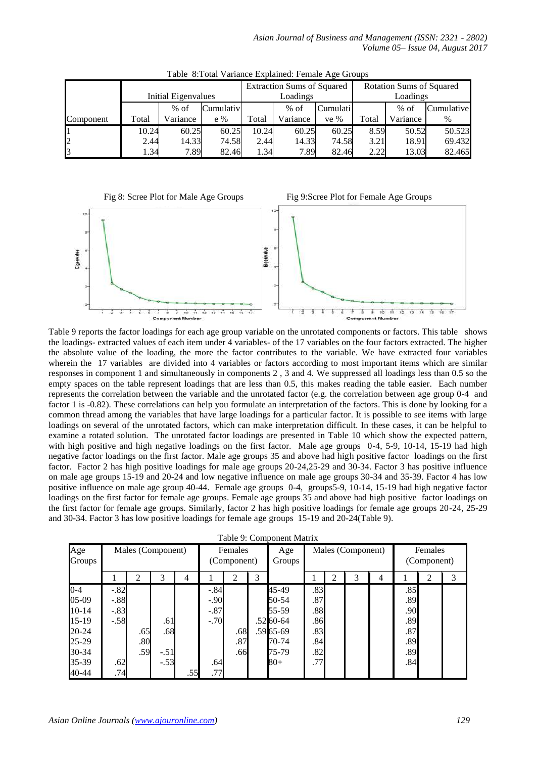|                |       |                            |           |       | <b>Extraction Sums of Squared</b> |          | <b>Rotation Sums of Squared</b> |          |            |  |  |
|----------------|-------|----------------------------|-----------|-------|-----------------------------------|----------|---------------------------------|----------|------------|--|--|
|                |       | <b>Initial Eigenvalues</b> |           |       | Loadings                          |          | Loadings                        |          |            |  |  |
|                |       | $%$ of                     | Cumulativ |       | $%$ of                            | Cumulati |                                 | $%$ of   | Cumulative |  |  |
| Component      | Total | Variance                   | $e\%$     | Total | Variance                          | ve $%$   | Total                           | Variance | %          |  |  |
|                | 10.24 | 60.25                      | 60.25     | 10.24 | 60.25                             | 60.25    | 8.59                            | 50.52    | 50.523     |  |  |
| $\overline{2}$ | 2.44  | 14.33                      | 74.58     | 2.44  | 14.33                             | 74.58    | 3.21                            | 18.91    | 69.432     |  |  |
| 3              | .34   | 7.89                       | 82.46     | 1.34  | 7.89                              | 82.46    | 2.22                            | 13.03    | 82.465     |  |  |

Table 8:Total Variance Explained: Female Age Groups



Table 9 reports the factor loadings for each age group variable on the unrotated components or factors. This table shows the loadings- extracted values of each item under 4 variables- of the 17 variables on the four factors extracted. The higher the absolute value of the loading, the more the factor contributes to the variable. We have extracted four variables wherein the 17 variables are divided into 4 variables or factors according to most important items which are similar responses in component 1 and simultaneously in components 2 , 3 and 4. We suppressed all loadings less than 0.5 so the empty spaces on the table represent loadings that are less than 0.5, this makes reading the table easier. Each number represents the correlation between the variable and the unrotated factor (e.g. the correlation between age group 0-4 and factor 1 is -0.82). These correlations can help you formulate an interpretation of the factors. This is done by looking for a common thread among the variables that have large loadings for a particular factor. It is possible to see items with large loadings on several of the unrotated factors, which can make interpretation difficult. In these cases, it can be helpful to examine a rotated solution. The unrotated factor loadings are presented in Table 10 which show the expected pattern, with high positive and high negative loadings on the first factor. Male age groups 0-4, 5-9, 10-14, 15-19 had high negative factor loadings on the first factor. Male age groups 35 and above had high positive factor loadings on the first factor. Factor 2 has high positive loadings for male age groups 20-24,25-29 and 30-34. Factor 3 has positive influence on male age groups 15-19 and 20-24 and low negative influence on male age groups 30-34 and 35-39. Factor 4 has low positive influence on male age group 40-44. Female age groups 0-4, groups5-9, 10-14, 15-19 had high negative factor loadings on the first factor for female age groups. Female age groups 35 and above had high positive factor loadings on the first factor for female age groups. Similarly, factor 2 has high positive loadings for female age groups 20-24, 25-29 and 30-34. Factor 3 has low positive loadings for female age groups 15-19 and 20-24(Table 9).

| Age<br>Groups |        | Males (Component) |        |     |        | Females<br>(Component) | Males (Component)<br>Age<br>Groups |             |     |   |   |   |     | Females<br>(Component) |   |  |  |
|---------------|--------|-------------------|--------|-----|--------|------------------------|------------------------------------|-------------|-----|---|---|---|-----|------------------------|---|--|--|
|               |        | 2                 | 3      | 4   |        | 2                      | 3                                  |             |     | ◠ | 3 | 4 |     | 2                      | 3 |  |  |
| $0 - 4$       | $-.82$ |                   |        |     | $-.84$ |                        |                                    | 45-49       | .83 |   |   |   | .85 |                        |   |  |  |
| 05-09         | $-.88$ |                   |        |     | $-.90$ |                        |                                    | 50-54       | .87 |   |   |   | .89 |                        |   |  |  |
| $10-14$       | $-.83$ |                   |        |     | $-.87$ |                        |                                    | 55-59       | .88 |   |   |   | .90 |                        |   |  |  |
| $15-19$       | $-.58$ |                   | .61    |     | $-.70$ |                        |                                    | .52 60 - 64 | .86 |   |   |   | .89 |                        |   |  |  |
| 20-24         |        | .65               | .68    |     |        | .68                    |                                    | .59 65 -69  | .83 |   |   |   | .87 |                        |   |  |  |
| 25-29         |        | .80               |        |     |        | .87                    |                                    | 70-74       | .84 |   |   |   | .89 |                        |   |  |  |
| 30-34         |        | .59               | $-.51$ |     |        | .66                    |                                    | 75-79       | .82 |   |   |   | .89 |                        |   |  |  |
| 35-39         | .62    |                   | $-.53$ |     | .64    |                        |                                    | $80 +$      | .77 |   |   |   | .84 |                        |   |  |  |
| 40-44         | .74    |                   |        | .55 | .77    |                        |                                    |             |     |   |   |   |     |                        |   |  |  |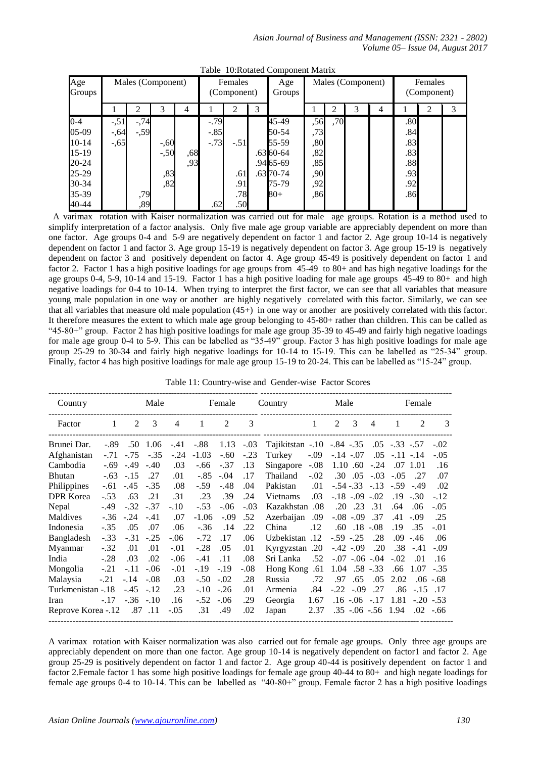| Age<br>Groups |         | Males (Component) |         |     |        | Females<br>(Component) |   | Age<br>Groups |     |     | Males (Component) | Females<br>(Component) |     |   |   |
|---------------|---------|-------------------|---------|-----|--------|------------------------|---|---------------|-----|-----|-------------------|------------------------|-----|---|---|
|               |         | 2                 | 3       | 4   |        | $\overline{2}$         | 3 |               |     | 2   | 3                 | 4                      |     | ↑ | 3 |
| $0 - 4$       | $-.51$  | $-74$             |         |     | $-.79$ |                        |   | 45-49         | ,56 | ,70 |                   |                        | .80 |   |   |
| 05-09         | $-0.64$ | $-.59$            |         |     | $-.85$ |                        |   | 50-54         | ,73 |     |                   |                        | .84 |   |   |
| $10-14$       | $-.65$  |                   | $-0.60$ |     | $-.73$ | $-.51$                 |   | 55-59         | ,80 |     |                   |                        | .83 |   |   |
| $15-19$       |         |                   | $-.50$  | ,68 |        |                        |   | .63 60-64     | ,82 |     |                   |                        | .83 |   |   |
| 20-24         |         |                   |         | ,93 |        |                        |   | .94 65 - 69   | ,85 |     |                   |                        | .88 |   |   |
| 25-29         |         |                   | ,83     |     |        | .61                    |   | $.63\,70-74$  | ,90 |     |                   |                        | .93 |   |   |
| 30-34         |         |                   | ,82     |     |        | .91                    |   | 75-79         | ,92 |     |                   |                        | .92 |   |   |
| 35-39         |         | ,79               |         |     |        | .78                    |   | 80+           | ,86 |     |                   |                        | .86 |   |   |
| 40-44         |         | ,89               |         |     | .62    | .50                    |   |               |     |     |                   |                        |     |   |   |

Table 10:Rotated Component Matrix

 A varimax rotation with Kaiser normalization was carried out for male age groups. Rotation is a method used to simplify interpretation of a factor analysis. Only five male age group variable are appreciably dependent on more than one factor. Age groups 0-4 and 5-9 are negatively dependent on factor 1 and factor 2. Age group 10-14 is negatively dependent on factor 1 and factor 3. Age group 15-19 is negatively dependent on factor 3. Age group 15-19 is negatively dependent on factor 3 and positively dependent on factor 4. Age group 45-49 is positively dependent on factor 1 and factor 2. Factor 1 has a high positive loadings for age groups from 45-49 to 80+ and has high negative loadings for the age groups 0-4, 5-9, 10-14 and 15-19. Factor 1 has a high positive loading for male age groups 45-49 to 80+ and high negative loadings for 0-4 to 10-14. When trying to interpret the first factor, we can see that all variables that measure young male population in one way or another are highly negatively correlated with this factor. Similarly, we can see that all variables that measure old male population  $(45+)$  in one way or another are positively correlated with this factor. It therefore measures the extent to which male age group belonging to 45-80+ rather than children. This can be called as "45-80+" group. Factor 2 has high positive loadings for male age group 35-39 to 45-49 and fairly high negative loadings for male age group 0-4 to 5-9. This can be labelled as "35-49" group. Factor 3 has high positive loadings for male age group 25-29 to 30-34 and fairly high negative loadings for 10-14 to 15-19. This can be labelled as "25-34" group. Finally, factor 4 has high positive loadings for male age group 15-19 to 20-24. This can be labelled as "15-24" group.

| Table 11: Country-wise and Gender-wise Factor Scores |
|------------------------------------------------------|
|                                                      |

| Country            |        |            | Male   |                |         | Female             |        | Country                                  |              | Male           |                   |                        |                   | Female         |               |
|--------------------|--------|------------|--------|----------------|---------|--------------------|--------|------------------------------------------|--------------|----------------|-------------------|------------------------|-------------------|----------------|---------------|
| Factor             | 1      | 2          | 3      | $\overline{4}$ | 1       | 2                  | 3      |                                          | $\mathbf{1}$ | $\overline{2}$ | 3                 | $\overline{4}$         | 1                 | $\mathfrak{D}$ | $\mathcal{E}$ |
| Brunei Dar.        |        | $-.89$ .50 | 1.06   | $-.41$         |         | $-.88$ 1.13 $-.03$ |        | Tajikitstan -.10 -.84 -.35 .05 -.33 -.57 |              |                |                   |                        |                   |                | $-.02$        |
| Afghanistan        | $-.71$ | $-.75$     | $-.35$ | $-.24$         | $-1.03$ | $-.60$             | $-.23$ | Turkey                                   | $-.09$       |                | $-.14-.07$        |                        | $.05 - .11 - .14$ |                | $-.05$        |
| Cambodia           |        | $-.69-.49$ | $-.40$ | .03            | $-.66$  | $-.37$             | .13    | Singapore                                | $-.08$       |                | 1.10.60           | $-.24$                 |                   | $.07$ 1.01     | .16           |
| Bhutan             |        | $-.63-.15$ | .27    | .01            | $-.85$  | $-.04$             | .17    | Thailand                                 | $-.02$       | .30            |                   | $.05 - .03$            | $-.05$            | .27            | .07           |
| Philippines        | $-.61$ | $-.45$     | $-.35$ | .08            | $-.59$  | $-.48$             | .04    | Pakistan                                 | .01          |                | $-.54-.33-.13$    |                        | $-.59$            | $-.49$         | .02           |
| <b>DPR</b> Korea   | $-.53$ | .63        | .21    | .31            | .23     | .39                | .24    | Vietnams                                 | .03          |                | $-.18-.09-.02$    |                        |                   | $.19 - .30$    | $-.12$        |
| Nepal              | $-.49$ | $-.32$     | $-.37$ | $-.10$         | $-.53$  | $-.06$             | $-.03$ | Kazakhstan .08                           |              |                | $.20$ $.23$ $.31$ |                        | .64               | .06            | $-.05$        |
| Maldives           | $-.36$ | $-.24$     | $-.41$ | .07            | $-1.06$ | $-.09$             | .52    | Azerbaijan                               | .09          |                | $-.08-.09$        | .37                    | .41               | $-.09$         | .25           |
| Indonesia          | $-.35$ | .05        | .07    | .06            | $-.36$  | .14                | .22    | China                                    | .12          |                | $.60$ $.18$ $.08$ |                        | .19               | .35            | $-.01$        |
| Bangladesh         | $-.33$ | $-.31$     | $-.25$ | $-.06$         | $-.72$  | .17                | .06    | Uzbekistan .12                           |              |                | $-.59-.25$        | .28                    | .09               | -.46           | .06           |
| Myanmar            | $-.32$ | .01        | .01    | $-.01$         | $-.28$  | .05                | .01    | Kyrgyzstan .20                           |              |                | $-.42-.09$        | .20                    | .38               | $-.41$         | $-.09$        |
| India              | $-.28$ | .03        | .02    | $-.06$         | $-.41$  | .11                | .08    | Sri Lanka                                | .52          |                | $-.07-.06-.04$    |                        | $-.02$            | .01            | .16           |
| Mongolia           | $-.21$ | $-.11$     | $-.06$ | $-.01$         | $-.19$  | $-.19$             | $-.08$ | Hong Kong                                | .61          |                | $1.04$ .58 $-.33$ |                        | .66               | 1.07           | $-.35$        |
| Malaysia           | $-.21$ | $-.14$     | $-.08$ | .03            | $-.50$  | $-.02$             | .28    | Russia                                   | .72          | .97            | .65               | .05                    | 2.02              |                | $.06 - .68$   |
| Turkmenistan -.18  |        | $-.45-.12$ |        | .23            | $-.10$  | $-.26$             | .01    | Armenia                                  | .84          |                | $-.22-.09$        | .27                    | .86               | $-.15$ .17     |               |
| Iran               | $-.17$ | $-.36-.10$ |        | .16            | $-.52$  | $-.06$             | .29    | Georgia                                  | 1.67         |                | $.16 - .06 - .17$ |                        | 1.81              | $-.20-.53$     |               |
| Reprove Korea -.12 |        | .87 .11    |        | $-.05$         | .31     | .49                | .02    | Japan                                    | 2.37         |                |                   | $.35 - .06 - .56$ 1.94 |                   |                | $.02-.66$     |

A varimax rotation with Kaiser normalization was also carried out for female age groups. Only three age groups are appreciably dependent on more than one factor. Age group  $10-14$  is negatively dependent on factor1 and factor 2. Age group 25-29 is positively dependent on factor 1 and factor 2. Age group 40-44 is positively dependent on factor 1 and factor 2.Female factor 1 has some high positive loadings for female age group 40-44 to 80+ and high negate loadings for female age groups 0-4 to 10-14. This can be labelled as "40-80+" group. Female factor 2 has a high positive loadings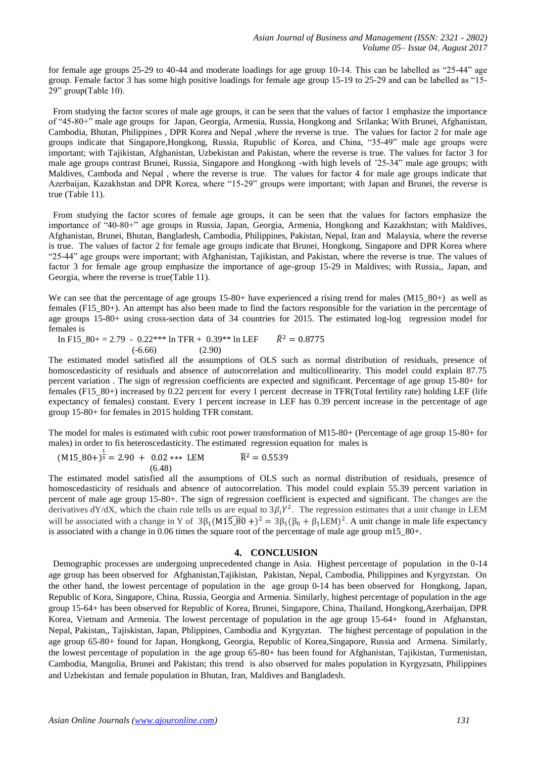for female age groups 25-29 to 40-44 and moderate loadings for age group 10-14. This can be labelled as "25-44" age group. Female factor 3 has some high positive loadings for female age group 15-19 to 25-29 and can be labelled as "15- 29" group(Table 10).

 From studying the factor scores of male age groups, it can be seen that the values of factor 1 emphasize the importance of "45-80+" male age groups for Japan, Georgia, Armenia, Russia, Hongkong and Srilanka; With Brunei, Afghanistan, Cambodia, Bhutan, Philippines , DPR Korea and Nepal ,where the reverse is true. The values for factor 2 for male age groups indicate that Singapore,Hongkong, Russia, Rupublic of Korea, and China, "35-49" male age groups were important; with Tajikistan, Afghanistan, Uzbekistan and Pakistan, where the reverse is true. The values for factor 3 for male age groups contrast Brunei, Russia, Singapore and Hongkong -with high levels of '25-34" male age groups; with Maldives, Camboda and Nepal , where the reverse is true. The values for factor 4 for male age groups indicate that Azerbaijan, Kazakhstan and DPR Korea, where "15-29" groups were important; with Japan and Brunei, the reverse is true (Table 11).

 From studying the factor scores of female age groups, it can be seen that the values for factors emphasize the importance of "40-80+" age groups in Russia, Japan, Georgia, Armenia, Hongkong and Kazakhstan; with Maldives, Afghanistan, Brunei, Bhutan, Bangladesh, Cambodia, Philippines, Pakistan, Nepal, Iran and Malaysia, where the reverse is true. The values of factor 2 for female age groups indicate that Brunei, Hongkong, Singapore and DPR Korea where "25-44" age groups were important; with Afghanistan, Tajikistan, and Pakistan, where the reverse is true. The values of factor 3 for female age group emphasize the importance of age-group 15-29 in Maldives; with Russia,, Japan, and Georgia, where the reverse is true(Table 11).

We can see that the percentage of age groups  $15{\text -}80+$  have experienced a rising trend for males (M15  $80+)$  as well as females (F15\_80+). An attempt has also been made to find the factors responsible for the variation in the percentage of age groups 15-80+ using cross-section data of 34 countries for 2015. The estimated log-log regression model for females is

In F15  $80+ = 2.79$  - 0.22\*\*\* ln TFR + 0.39\*\* ln LEF  $\bar{R}^2 = 0.8775$ (-6.66) (2.90)

The estimated model satisfied all the assumptions of OLS such as normal distribution of residuals, presence of homoscedasticity of residuals and absence of autocorrelation and multicollinearity. This model could explain 87.75 percent variation . The sign of regression coefficients are expected and significant. Percentage of age group 15-80+ for females (F15\_80+) increased by 0.22 percent for every 1 percent decrease in TFR(Total fertility rate) holding LEF (life expectancy of females) constant. Every 1 percent increase in LEF has 0.39 percent increase in the percentage of age group 15-80+ for females in 2015 holding TFR constant.

The model for males is estimated with cubic root power transformation of M15-80+ (Percentage of age group 15-80+ for males) in order to fix heteroscedasticity. The estimated regression equation for males is

$$
(M15_80+)^\frac{1}{3} = 2.90 + 0.02*** \text{ LEM} \qquad \qquad \overline{R}^2 = 0.5539
$$
  
(6.48)

The estimated model satisfied all the assumptions of OLS such as normal distribution of residuals, presence of homoscedasticity of residuals and absence of autocorrelation. This model could explain 55.39 percent variation in percent of male age group 15-80+. The sign of regression coefficient is expected and significant. The changes are the derivatives dY/dX, which the chain rule tells us are equal to  $3\beta_i Y^2$ . The regression estimates that a unit change in LEM will be associated with a change in Y of  $3\beta_1(M15_8\overline{)B}0 + )^2 = 3\beta_1(\beta_0 + \beta_1\textrm{LEM})^2$ . A unit change in male life expectancy is associated with a change in 0.06 times the square root of the percentage of male age group m15\_80+.

#### **4. CONCLUSION**

 Demographic processes are undergoing [unprecedented](https://www.google.com/search?sa=X&rlz=1T4RVEB_enAU627AU628&biw=1350&bih=514&q=define+unprecedented&ved=0CCMQ_SowAGoVChMI38_7kK-PyQIV6CCmCh1DfQAS) change in Asia. Highest percentage of population in the 0-14 age group has been observed for Afghanistan,Tajikistan, Pakistan, Nepal, Cambodia, Philippines and Kyrgyzstan. On the other hand, the lowest percentage of population in the age group 0-14 has been observed for Hongkong, Japan, Republic of Kora, Singapore, China, Russia, Georgia and Armenia. Similarly, highest percentage of population in the age group 15-64+ has been observed for Republic of Korea, Brunei, Singapore, China, Thailand, Hongkong,Azerbaijan, DPR Korea, Vietnam and Armenia. The lowest percentage of population in the age group 15-64+ found in Afghanstan, Nepal, Pakistan,, Tajiskistan, Japan, Phlippines, Cambodia and Kyrgyztan. The highest percentage of population in the age group 65-80+ found for Japan, Hongkong, Georgia, Republic of Korea,Singapore, Russia and Armena. Similarly, the lowest percentage of population in the age group 65-80+ has been found for Afghanistan, Tajikistan, Turmenistan, Cambodia, Mangolia, Brunei and Pakistan; this trend is also observed for males population in Kyrgyzsatn, Philippines and Uzbekistan and female population in Bhutan, Iran, Maldives and Bangladesh.